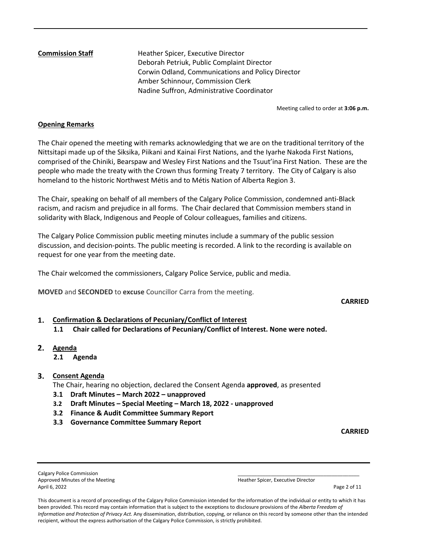**Commission Staff Heather Spicer, Executive Director**  Deborah Petriuk, Public Complaint Director Corwin Odland, Communications and Policy Director Amber Schinnour, Commission Clerk Nadine Suffron, Administrative Coordinator

Meeting called to order at **3:06 p.m.** 

## **Opening Remarks**

The Chair opened the meeting with remarks acknowledging that we are on the traditional territory of the Nittsitapi made up of the Siksika, Piikani and Kainai First Nations, and the Iyarhe Nakoda First Nations, comprised of the Chiniki, Bearspaw and Wesley First Nations and the Tsuut'ina First Nation. These are the people who made the treaty with the Crown thus forming Treaty 7 territory. The City of Calgary is also homeland to the historic Northwest Métis and to Métis Nation of Alberta Region 3.

The Chair, speaking on behalf of all members of the Calgary Police Commission, condemned anti-Black racism, and racism and prejudice in all forms. The Chair declared that Commission members stand in solidarity with Black, Indigenous and People of Colour colleagues, families and citizens.

The Calgary Police Commission public meeting minutes include a summary of the public session discussion, and decision-points. The public meeting is recorded. A link to the recording is available on request for one year from the meeting date.

The Chair welcomed the commissioners, Calgary Police Service, public and media.

**MOVED** and **SECONDED** to **excuse** Councillor Carra from the meeting.

#### **CARRIED**

# **Confirmation & Declarations of Pecuniary/Conflict of Interest**

- **1.1 Chair called for Declarations of Pecuniary/Conflict of Interest. None were noted.**
- **Agenda** 
	- **2.1 Agenda**

## **Consent Agenda**

The Chair, hearing no objection, declared the Consent Agenda **approved**, as presented

- **3.1 Draft Minutes March 2022 unapproved**
- **3.2 Draft Minutes Special Meeting March 18, 2022 unapproved**
- **3.2 Finance & Audit Committee Summary Report**
- **3.3 Governance Committee Summary Report**

**CARRIED**

Calgary Police Commission Approved Minutes of the Meeting Heather Spicer, Executive Director April 6, 2022 Page 2 of 11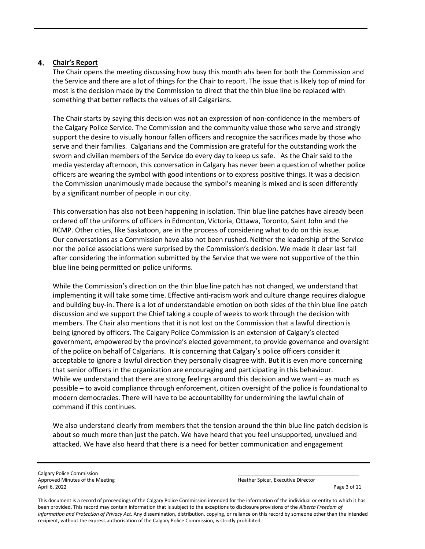## **Chair's Report**

The Chair opens the meeting discussing how busy this month ahs been for both the Commission and the Service and there are a lot of things for the Chair to report. The issue that is likely top of mind for most is the decision made by the Commission to direct that the thin blue line be replaced with something that better reflects the values of all Calgarians.

The Chair starts by saying this decision was not an expression of non-confidence in the members of the Calgary Police Service. The Commission and the community value those who serve and strongly support the desire to visually honour fallen officers and recognize the sacrifices made by those who serve and their families. Calgarians and the Commission are grateful for the outstanding work the sworn and civilian members of the Service do every day to keep us safe. As the Chair said to the media yesterday afternoon, this conversation in Calgary has never been a question of whether police officers are wearing the symbol with good intentions or to express positive things. It was a decision the Commission unanimously made because the symbol's meaning is mixed and is seen differently by a significant number of people in our city.

This conversation has also not been happening in isolation. Thin blue line patches have already been ordered off the uniforms of officers in Edmonton, Victoria, Ottawa, Toronto, Saint John and the RCMP. Other cities, like Saskatoon, are in the process of considering what to do on this issue. Our conversations as a Commission have also not been rushed. Neither the leadership of the Service nor the police associations were surprised by the Commission's decision. We made it clear last fall after considering the information submitted by the Service that we were not supportive of the thin blue line being permitted on police uniforms.

While the Commission's direction on the thin blue line patch has not changed, we understand that implementing it will take some time. Effective anti-racism work and culture change requires dialogue and building buy-in. There is a lot of understandable emotion on both sides of the thin blue line patch discussion and we support the Chief taking a couple of weeks to work through the decision with members. The Chair also mentions that it is not lost on the Commission that a lawful direction is being ignored by officers. The Calgary Police Commission is an extension of Calgary's elected government, empowered by the province's elected government, to provide governance and oversight of the police on behalf of Calgarians. It is concerning that Calgary's police officers consider it acceptable to ignore a lawful direction they personally disagree with. But it is even more concerning that senior officers in the organization are encouraging and participating in this behaviour. While we understand that there are strong feelings around this decision and we want – as much as possible – to avoid compliance through enforcement, citizen oversight of the police is foundational to modern democracies. There will have to be accountability for undermining the lawful chain of command if this continues.

We also understand clearly from members that the tension around the thin blue line patch decision is about so much more than just the patch. We have heard that you feel unsupported, unvalued and attacked. We have also heard that there is a need for better communication and engagement

Calgary Police Commission Approved Minutes of the Meeting Heather Spicer, Executive Director April 6, 2022 Page 3 of 11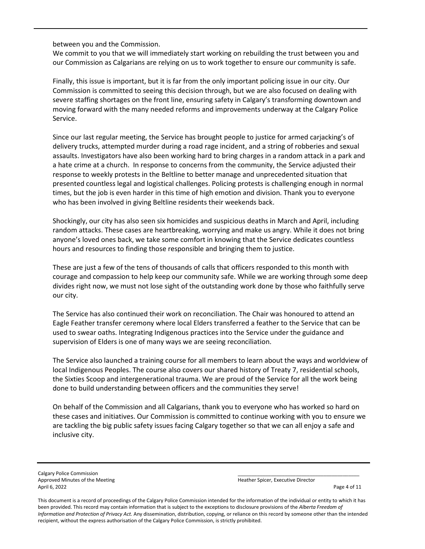between you and the Commission.

We commit to you that we will immediately start working on rebuilding the trust between you and our Commission as Calgarians are relying on us to work together to ensure our community is safe.

Finally, this issue is important, but it is far from the only important policing issue in our city. Our Commission is committed to seeing this decision through, but we are also focused on dealing with severe staffing shortages on the front line, ensuring safety in Calgary's transforming downtown and moving forward with the many needed reforms and improvements underway at the Calgary Police Service.

Since our last regular meeting, the Service has brought people to justice for armed carjacking's of delivery trucks, attempted murder during a road rage incident, and a string of robberies and sexual assaults. Investigators have also been working hard to bring charges in a random attack in a park and a hate crime at a church. In response to concerns from the community, the Service adjusted their response to weekly protests in the Beltline to better manage and unprecedented situation that presented countless legal and logistical challenges. Policing protests is challenging enough in normal times, but the job is even harder in this time of high emotion and division. Thank you to everyone who has been involved in giving Beltline residents their weekends back.

Shockingly, our city has also seen six homicides and suspicious deaths in March and April, including random attacks. These cases are heartbreaking, worrying and make us angry. While it does not bring anyone's loved ones back, we take some comfort in knowing that the Service dedicates countless hours and resources to finding those responsible and bringing them to justice.

These are just a few of the tens of thousands of calls that officers responded to this month with courage and compassion to help keep our community safe. While we are working through some deep divides right now, we must not lose sight of the outstanding work done by those who faithfully serve our city.

The Service has also continued their work on reconciliation. The Chair was honoured to attend an Eagle Feather transfer ceremony where local Elders transferred a feather to the Service that can be used to swear oaths. Integrating Indigenous practices into the Service under the guidance and supervision of Elders is one of many ways we are seeing reconciliation.

The Service also launched a training course for all members to learn about the ways and worldview of local Indigenous Peoples. The course also covers our shared history of Treaty 7, residential schools, the Sixties Scoop and intergenerational trauma. We are proud of the Service for all the work being done to build understanding between officers and the communities they serve!

On behalf of the Commission and all Calgarians, thank you to everyone who has worked so hard on these cases and initiatives. Our Commission is committed to continue working with you to ensure we are tackling the big public safety issues facing Calgary together so that we can all enjoy a safe and inclusive city.

Calgary Police Commission Approved Minutes of the Meeting Heather Spicer, Executive Director Spicer, Executive Director April 6, 2022 Page 4 of 11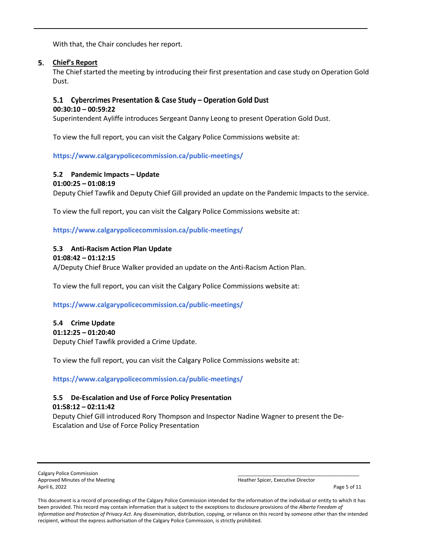With that, the Chair concludes her report.

## **Chief's Report**

The Chief started the meeting by introducing their first presentation and case study on Operation Gold Dust.

## 5.1 Cybercrimes Presentation & Case Study - Operation Gold Dust

#### **00:30:10 – 00:59:22**

Superintendent Ayliffe introduces Sergeant Danny Leong to present Operation Gold Dust.

To view the full report, you can visit the Calgary Police Commissions website at:

**<https://www.calgarypolicecommission.ca/public-meetings/>**

## **5.2 Pandemic Impacts – Update**

#### **01:00:25 – 01:08:19**

Deputy Chief Tawfik and Deputy Chief Gill provided an update on the Pandemic Impacts to the service.

To view the full report, you can visit the Calgary Police Commissions website at:

**<https://www.calgarypolicecommission.ca/public-meetings/>**

## **5.3 Anti-Racism Action Plan Update**

#### **01:08:42 – 01:12:15**

A/Deputy Chief Bruce Walker provided an update on the Anti-Racism Action Plan.

To view the full report, you can visit the Calgary Police Commissions website at:

**<https://www.calgarypolicecommission.ca/public-meetings/>**

## **5.4 Crime Update**

## **01:12:25 – 01:20:40**

Deputy Chief Tawfik provided a Crime Update.

To view the full report, you can visit the Calgary Police Commissions website at:

**<https://www.calgarypolicecommission.ca/public-meetings/>**

## **5.5 De-Escalation and Use of Force Policy Presentation 01:58:12 – 02:11:42**

Deputy Chief Gill introduced Rory Thompson and Inspector Nadine Wagner to present the De-Escalation and Use of Force Policy Presentation

Calgary Police Commission Calgary Police Commission Calgary Police Commission Calgary Police Commission Calgary<br>
Approved Minutes of the Meeting Calgary Police Calgary Police Calgary Police Calgary Police Calgary Police Ca Approved Minutes of the Meeting April 6, 2022 Page 5 of 11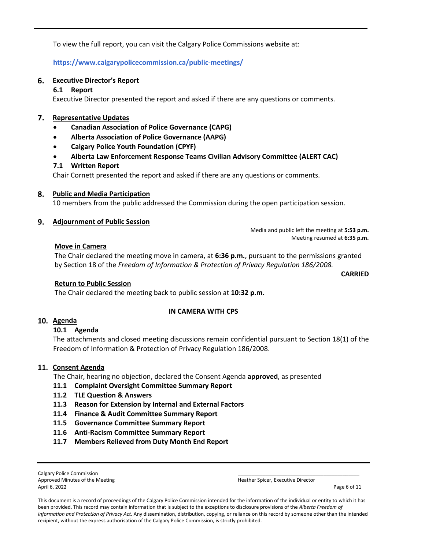To view the full report, you can visit the Calgary Police Commissions website at:

**<https://www.calgarypolicecommission.ca/public-meetings/>**

## **Executive Director's Report**

## **6.1 Report**

Executive Director presented the report and asked if there are any questions or comments.

## **Representative Updates**

- **Canadian Association of Police Governance (CAPG)**
- **Alberta Association of Police Governance (AAPG)**
- **Calgary Police Youth Foundation (CPYF)**
- **Alberta Law Enforcement Response Teams Civilian Advisory Committee (ALERT CAC)**

## **7.1 Written Report**

Chair Cornett presented the report and asked if there are any questions or comments.

## **Public and Media Participation**

10 members from the public addressed the Commission during the open participation session.

## **Adjournment of Public Session**

Media and public left the meeting at **5:53 p.m.**  Meeting resumed at **6:35 p.m.** 

## **Move in Camera**

The Chair declared the meeting move in camera, at **6:36 p.m.**, pursuant to the permissions granted by Section 18 of the *Freedom of Information & Protection of Privacy Regulation 186/2008.*

## **Return to Public Session**

The Chair declared the meeting back to public session at **10:32 p.m.**

#### **IN CAMERA WITH CPS**

## **Agenda**

#### **10.1 Agenda**

The attachments and closed meeting discussions remain confidential pursuant to Section 18(1) of the Freedom of Information & Protection of Privacy Regulation 186/2008.

#### 11. Consent Agenda

The Chair, hearing no objection, declared the Consent Agenda **approved**, as presented

- **11.1 Complaint Oversight Committee Summary Report**
- **11.2 TLE Question & Answers**
- **11.3 Reason for Extension by Internal and External Factors**
- **11.4 Finance & Audit Committee Summary Report**
- **11.5 Governance Committee Summary Report**
- **11.6 Anti-Racism Committee Summary Report**
- **11.7 Members Relieved from Duty Month End Report**

Calgary Police Commission Approved Minutes of the Meeting Heather Spicer, Executive Director April 6, 2022 Page 6 of 11

**CARRIED**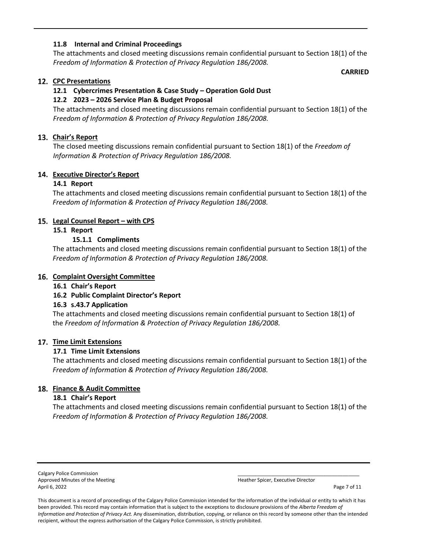## **11.8 Internal and Criminal Proceedings**

The attachments and closed meeting discussions remain confidential pursuant to Section 18(1) of the *Freedom of Information & Protection of Privacy Regulation 186/2008.*

**CARRIED**

## **CPC Presentations**

## **12.1 Cybercrimes Presentation & Case Study – Operation Gold Dust**

## **12.2 2023 – 2026 Service Plan & Budget Proposal**

The attachments and closed meeting discussions remain confidential pursuant to Section 18(1) of the *Freedom of Information & Protection of Privacy Regulation 186/2008.*

## **Chair's Report**

The closed meeting discussions remain confidential pursuant to Section 18(1) of the *Freedom of Information & Protection of Privacy Regulation 186/2008.*

## **Executive Director's Report**

## **14.1 Report**

The attachments and closed meeting discussions remain confidential pursuant to Section 18(1) of the *Freedom of Information & Protection of Privacy Regulation 186/2008.*

## 15. Legal Counsel Report - with CPS

#### **15.1 Report**

## **15.1.1 Compliments**

The attachments and closed meeting discussions remain confidential pursuant to Section 18(1) of the *Freedom of Information & Protection of Privacy Regulation 186/2008.*

#### **16. Complaint Oversight Committee**

**16.1 Chair's Report** 

## **16.2 Public Complaint Director's Report**

#### **16.3 s.43.7 Application**

The attachments and closed meeting discussions remain confidential pursuant to Section 18(1) of the *Freedom of Information & Protection of Privacy Regulation 186/2008.*

#### **17. Time Limit Extensions**

#### **17.1 Time Limit Extensions**

The attachments and closed meeting discussions remain confidential pursuant to Section 18(1) of the *Freedom of Information & Protection of Privacy Regulation 186/2008.*

## **Finance & Audit Committee**

#### **18.1 Chair's Report**

The attachments and closed meeting discussions remain confidential pursuant to Section 18(1) of the *Freedom of Information & Protection of Privacy Regulation 186/2008.*

Calgary Police Commission Approved Minutes of the Meeting Heather Spicer, Executive Director April 6, 2022 Page 7 of 11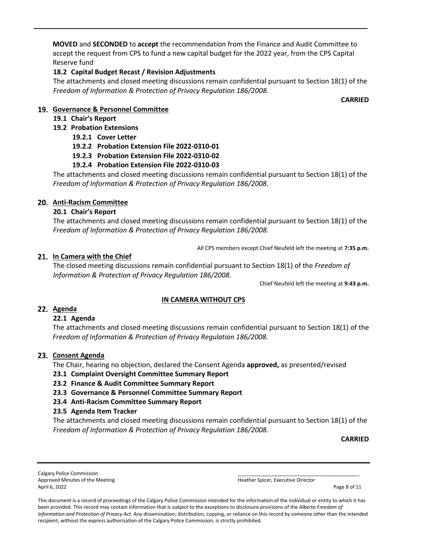**MOVED** and **SECONDED** to **accept** the recommendation from the Finance and Audit Committee to accept the request from CPS to fund a new capital budget for the 2022 year, from the CPS Capital Reserve fund

## **18.2 Capital Budget Recast / Revision Adjustments**

The attachments and closed meeting discussions remain confidential pursuant to Section 18(1) of the *Freedom of Information & Protection of Privacy Regulation 186/2008.*

**CARRIED**

## **Governance & Personnel Committee**

## **19.1 Chair's Report**

## **19.2 Probation Extensions**

- **19.2.1 Cover Letter**
- **19.2.2 Probation Extension File 2022-0310-01**
- **19.2.3 Probation Extension File 2022-0310-02**

## **19.2.4 Probation Extension File 2022-0310-03**

The attachments and closed meeting discussions remain confidential pursuant to Section 18(1) of the *Freedom of Information & Protection of Privacy Regulation 186/2008.*

## **Anti-Racism Committee**

## **20.1 Chair's Report**

The attachments and closed meeting discussions remain confidential pursuant to Section 18(1) of the *Freedom of Information & Protection of Privacy Regulation 186/2008.*

All CPS members except Chief Neufeld left the meeting at **7:35 p.m.**

## **In Camera with the Chief**

The closed meeting discussions remain confidential pursuant to Section 18(1) of the *Freedom of Information & Protection of Privacy Regulation 186/2008.*

Chief Neufeld left the meeting at **9:43 p.m.** 

## **IN CAMERA WITHOUT CPS**

## **Agenda**

## **22.1 Agenda**

The attachments and closed meeting discussions remain confidential pursuant to Section 18(1) of the *Freedom of Information & Protection of Privacy Regulation 186/2008.*

## 23. Consent Agenda

The Chair, hearing no objection, declared the Consent Agenda **approved,** as presented/revised

**23.1 Complaint Oversight Committee Summary Report**

## **23.2 Finance & Audit Committee Summary Report**

**23.3 Governance & Personnel Committee Summary Report** 

## **23.4 Anti-Racism Committee Summary Report**

## **23.5 Agenda Item Tracker**

The attachments and closed meeting discussions remain confidential pursuant to Section 18(1) of the *Freedom of Information & Protection of Privacy Regulation 186/2008.*

**CARRIED**

Calgary Police Commission Approved Minutes of the Meeting Heather Spicer, Executive Director April 6, 2022 Page 8 of 11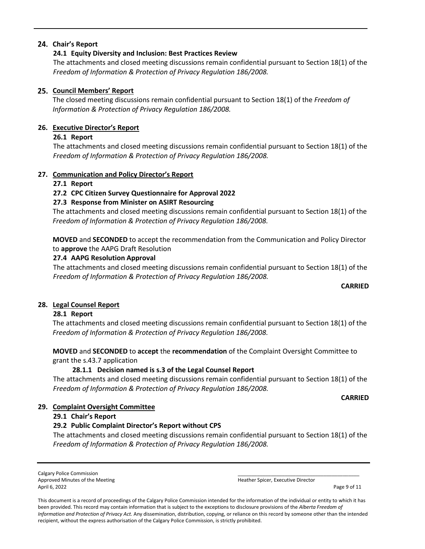## **Chair's Report**

## **24.1 Equity Diversity and Inclusion: Best Practices Review**

The attachments and closed meeting discussions remain confidential pursuant to Section 18(1) of the *Freedom of Information & Protection of Privacy Regulation 186/2008.*

## **Council Members' Report**

The closed meeting discussions remain confidential pursuant to Section 18(1) of the *Freedom of Information & Protection of Privacy Regulation 186/2008.*

## **26. Executive Director's Report**

## **26.1 Report**

The attachments and closed meeting discussions remain confidential pursuant to Section 18(1) of the *Freedom of Information & Protection of Privacy Regulation 186/2008.*

## **27. Communication and Policy Director's Report**

## **27.1 Report**

## **27.2 CPC Citizen Survey Questionnaire for Approval 2022**

## **27.3 Response from Minister on ASIRT Resourcing**

The attachments and closed meeting discussions remain confidential pursuant to Section 18(1) of the *Freedom of Information & Protection of Privacy Regulation 186/2008.*

**MOVED** and **SECONDED** to accept the recommendation from the Communication and Policy Director to **approve** the AAPG Draft Resolution

## **27.4 AAPG Resolution Approval**

The attachments and closed meeting discussions remain confidential pursuant to Section 18(1) of the *Freedom of Information & Protection of Privacy Regulation 186/2008.*

## **CARRIED**

## **28. Legal Counsel Report**

## **28.1 Report**

The attachments and closed meeting discussions remain confidential pursuant to Section 18(1) of the *Freedom of Information & Protection of Privacy Regulation 186/2008.*

**MOVED** and **SECONDED** to **accept** the **recommendation** of the Complaint Oversight Committee to grant the s.43.7 application

## **28.1.1 Decision named is s.3 of the Legal Counsel Report**

The attachments and closed meeting discussions remain confidential pursuant to Section 18(1) of the *Freedom of Information & Protection of Privacy Regulation 186/2008.*

#### **CARRIED**

## **29. Complaint Oversight Committee**

## **29.1 Chair's Report**

## **29.2 Public Complaint Director's Report without CPS**

The attachments and closed meeting discussions remain confidential pursuant to Section 18(1) of the *Freedom of Information & Protection of Privacy Regulation 186/2008.*

Calgary Police Commission Approved Minutes of the Meeting Heather Spicer, Executive Director Control of the Meeting Heather Spicer, Executive Director April 6, 2022 Page 9 of 11

| . |  |
|---|--|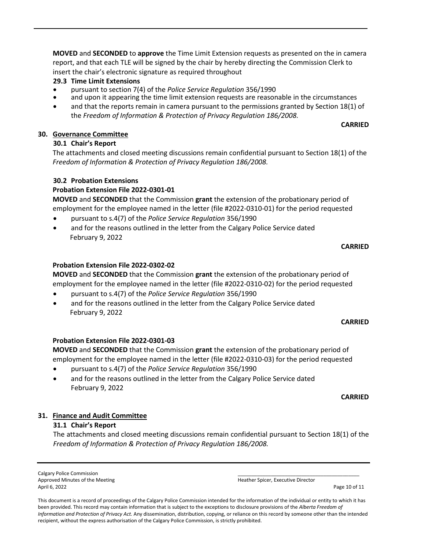**MOVED** and **SECONDED** to **approve** the Time Limit Extension requests as presented on the in camera report, and that each TLE will be signed by the chair by hereby directing the Commission Clerk to insert the chair's electronic signature as required throughout

# **29.3 Time Limit Extensions**

- 
- pursuant to section 7(4) of the *Police Service Regulation* 356/1990 and upon it appearing the time limit extension requests are reasonable in the circumstances
- and that the reports remain in camera pursuant to the permissions granted by Section 18(1) of the *Freedom of Information & Protection of Privacy Regulation 186/2008.*

# **30. Governance Committee**

# **30.1 Chair's Report**

The attachments and closed meeting discussions remain confidential pursuant to Section 18(1) of the *Freedom of Information & Protection of Privacy Regulation 186/2008.*

# **30.2 Probation Extensions**

# **Probation Extension File 2022-0301-01**

**MOVED** and **SECONDED** that the Commission **grant** the extension of the probationary period of employment for the employee named in the letter (file #2022-0310-01) for the period requested

- pursuant to s.4(7) of the *Police Service Regulation* 356/1990
- and for the reasons outlined in the letter from the Calgary Police Service dated February 9, 2022

## **CARRIED**

**CARRIED**

## **Probation Extension File 2022-0302-02**

**MOVED** and **SECONDED** that the Commission **grant** the extension of the probationary period of employment for the employee named in the letter (file #2022-0310-02) for the period requested

- pursuant to s.4(7) of the *Police Service Regulation* 356/1990
- and for the reasons outlined in the letter from the Calgary Police Service dated February 9, 2022

## **CARRIED**

## **Probation Extension File 2022-0301-03**

**MOVED** and **SECONDED** that the Commission **grant** the extension of the probationary period of employment for the employee named in the letter (file #2022-0310-03) for the period requested

- pursuant to s.4(7) of the *Police Service Regulation* 356/1990
- and for the reasons outlined in the letter from the Calgary Police Service dated February 9, 2022

#### **CARRIED**

## **31. Finance and Audit Committee**

## **31.1 Chair's Report**

The attachments and closed meeting discussions remain confidential pursuant to Section 18(1) of the *Freedom of Information & Protection of Privacy Regulation 186/2008.*

Calgary Police Commission Approved Minutes of the Meeting Heather Spicer, Executive Director Approved Minutes of the Meeting April 6, 2022 Page 10 of 11

| $\sim$ |  |
|--------|--|